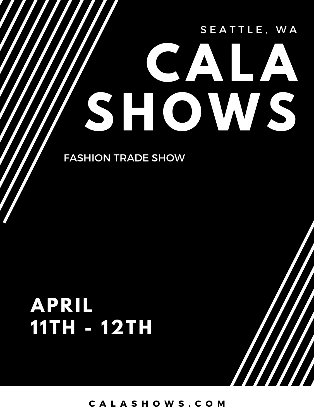# SEATTLE, WA **CALA SHOWS**

FASHION TRADE SHOW

# **APRIL 1 1TH - 12TH**

**C A L A S H O W S . C O M**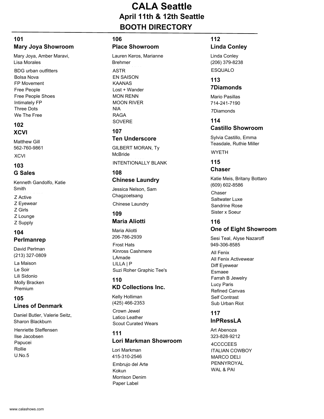# **CALA Seattle April 11th & 12th Seattle BOOTH DIRECTORY**

#### **101 Mary Joya Showroom**

Mary Joya, Amber Maravi, Lisa Morales

**BDG** urban outfitters Bolsa Nova FP Movement Free People Free People Shoes Intimately FP Three Dots We The Free

#### **102 XCVI**

XCVI Matthew Gill 562-760-9861

#### **103 G Sales**

Kenneth Gandolfo, Katie Smith

- Z Active
- Z Eyewear
- Z Girls
- Z Lounge
- Z Supply

#### **104 Perlmanrep**

David Perlman (213) 327-0809

La Maison Le Soir Lili Sidonio Molly Bracken Premium

#### **105 Lines of Denmark**

Daniel Butler, Valerie Seitz, Sharon Blackburn

Henriette Steffensen Ilse Jacobsen Papucei Rollie U.No.5

#### **106**

#### **Place Showroom**

ASTR EN SAISON KAANAS Lost + Wander MON RENN MOON RIVER NIA RAGA SOVERE Lauren Keros, Marianne Brehmer

# **107**

#### **Ten Underscore**

INTENTIONALLY BLANK GILBERT MORAN, Ty McBride

#### **108**

# **Chinese Laundry**

Jessica Nelson, Sam **Chagzoetsang** 

Chinese Laundry

#### **109 Maria Aliotti**

Maria Aliotti 206-786-2939

Frost Hats Kinross Cashmere LAmade LILLA | P Suzi Roher Graphic Tee's

#### **110 KD Collections Inc.**

Crown Jewel Latico Leather Scout Curated Wears Kelly Holliman (425) 466-2353

#### **111 Lori Markman Showroom**

Embrujo del Arte Kokun Morrison Denim Paper Label Lori Markman 415-310-2546

# **112**

# **Linda Conley**

**ESQUALO** Linda Conley (206) 379-8238

#### **113 7Diamonds**

7Diamonds Mario Pasillas 714-241-7190

#### **114 Castillo Showroom**

WYETH Sylvia Castillo, Emma Teasdale, Ruthie Miller

#### **115 Chaser**

Chaser Saltwater Luxe Sandrine Rose Sister x Soeur Katie Meis, Britany Bottaro (609) 602-8586

# **116**

#### **One of Eight Showroom**

Sesi Teal, Alyse Nazaroff 949-306-8585

All Fenix All Fenix Activewear Diff Eyewear Esmaee Farrah B Jewelry Lucy Paris Refined Canvas Self Contrast Sub Urban Riot

#### **117 InPRessLA**

4CCCCEES ITALIAN COWBOY MARCO DELI PENNYROYAL WAL & PAI Art Abenoza 323-828-9212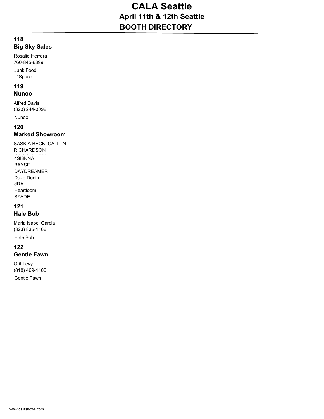# **CALA Seattle April 11th & 12th Seattle BOOTH DIRECTORY**

#### **118 Big Sky Sales**

Rosalie Herrera 760-845-6399

Junk Food L\*Space

#### **119 Nunoo**

Alfred Davis (323) 244-3092

Nunoo

# **120**

#### **Marked Showroom**

SASKIA BECK, CAITLIN RICHARDSON

4SI3NNA BAYSE DAYDREAMER Daze Denim dRA Heartloom SZADE

# **121**

#### **Hale Bob**

Maria Isabel Garcia (323) 835-1166

Hale Bob

# **122**

#### **Gentle Fawn**

Orit Levy (818) 469-1100

Gentle Fawn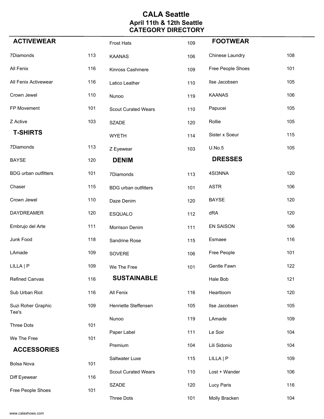# **CALA Seattle April 11th & 12th Seattle CATEGORY DIRECTORY**

| <b>ACTIVEWEAR</b>                 |     | <b>Frost Hats</b>           | 109 | <b>FOOTWEAR</b>   |     |
|-----------------------------------|-----|-----------------------------|-----|-------------------|-----|
| 7Diamonds                         | 113 | <b>KAANAS</b>               | 106 | Chinese Laundry   | 108 |
| All Fenix                         | 116 | Kinross Cashmere            | 109 | Free People Shoes | 101 |
| All Fenix Activewear              | 116 | Latico Leather              | 110 | Ilse Jacobsen     | 105 |
| Crown Jewel                       | 110 | Nunoo                       | 119 | <b>KAANAS</b>     | 106 |
| FP Movement                       | 101 | <b>Scout Curated Wears</b>  | 110 | Papucei           | 105 |
| Z Active                          | 103 | <b>SZADE</b>                | 120 | Rollie            | 105 |
| <b>T-SHIRTS</b>                   |     | <b>WYETH</b>                | 114 | Sister x Soeur    | 115 |
| 7Diamonds                         | 113 | Z Eyewear                   | 103 | U.No.5            | 105 |
| <b>BAYSE</b>                      | 120 | <b>DENIM</b>                |     | <b>DRESSES</b>    |     |
| <b>BDG</b> urban outfitters       | 101 | 7Diamonds                   | 113 | 4SI3NNA           | 120 |
| Chaser                            | 115 | <b>BDG</b> urban outfitters | 101 | <b>ASTR</b>       | 106 |
| Crown Jewel                       | 110 | Daze Denim                  | 120 | <b>BAYSE</b>      | 120 |
| <b>DAYDREAMER</b>                 | 120 | <b>ESQUALO</b>              | 112 | dRA               | 120 |
| Embrujo del Arte                  | 111 | Morrison Denim              | 111 | <b>EN SAISON</b>  | 106 |
| Junk Food                         | 118 | Sandrine Rose               | 115 | Esmaee            | 116 |
| LAmade                            | 109 | SOVERE                      | 106 | Free People       | 101 |
| LILLA   P                         | 109 | We The Free                 | 101 | Gentle Fawn       | 122 |
| Refined Canvas                    | 116 | <b>SUSTAINABLE</b>          |     | Hale Bob          | 121 |
| Sub Urban Riot                    | 116 | All Fenix                   | 116 | Heartloom         | 120 |
| Suzi Roher Graphic                | 109 | Henriette Steffensen        | 105 | Ilse Jacobsen     | 105 |
| Tee's                             |     | Nunoo                       | 119 | LAmade            | 109 |
| <b>Three Dots</b>                 | 101 | Paper Label                 | 111 | Le Soir           | 104 |
| We The Free<br><b>ACCESSORIES</b> | 101 | Premium                     | 104 | Lili Sidonio      | 104 |
|                                   |     | Saltwater Luxe              | 115 | LILLA   P         | 109 |
| Bolsa Nova                        | 101 | <b>Scout Curated Wears</b>  | 110 | Lost + Wander     | 106 |
| Diff Eyewear                      | 116 | <b>SZADE</b>                | 120 | Lucy Paris        | 116 |
| Free People Shoes                 | 101 | Three Dots                  | 101 | Molly Bracken     | 104 |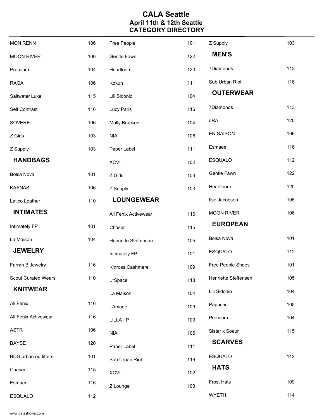# **CALA Seattle April 11th & 12th Seattle CATEGORY DIRECTORY**

| <b>MON RENN</b>             | 106 | Free People          | 101 | Z Supply             | 103 |
|-----------------------------|-----|----------------------|-----|----------------------|-----|
| <b>MOON RIVER</b>           | 106 | Gentle Fawn          | 122 | <b>MEN'S</b>         |     |
| Premium                     | 104 | Heartloom            | 120 | 7Diamonds            | 113 |
| <b>RAGA</b>                 | 106 | Kokun                | 111 | Sub Urban Riot       | 116 |
| Saltwater Luxe              | 115 | Lili Sidonio         | 104 | <b>OUTERWEAR</b>     |     |
| Self Contrast               | 116 | Lucy Paris           | 116 | 7Diamonds            | 113 |
| SOVERE                      | 106 | Molly Bracken        | 104 | dRA                  | 120 |
| Z Girls                     | 103 | <b>NIA</b>           | 106 | <b>EN SAISON</b>     | 106 |
| Z Supply                    | 103 | Paper Label          | 111 | Esmaee               | 116 |
| <b>HANDBAGS</b>             |     | <b>XCVI</b>          | 102 | <b>ESQUALO</b>       | 112 |
| <b>Bolsa Nova</b>           | 101 | Z Girls              | 103 | Gentle Fawn          | 122 |
| <b>KAANAS</b>               | 106 | Z Supply             | 103 | Heartloom            | 120 |
| Latico Leather              | 110 | <b>LOUNGEWEAR</b>    |     | Ilse Jacobsen        | 105 |
| <b>INTIMATES</b>            |     | All Fenix Activewear | 116 | <b>MOON RIVER</b>    | 106 |
| Intimately FP               | 101 | Chaser               | 115 | <b>EUROPEAN</b>      |     |
| La Maison                   | 104 | Henriette Steffensen | 105 | <b>Bolsa Nova</b>    | 101 |
| <b>JEWELRY</b>              |     | Intimately FP        | 101 | <b>ESQUALO</b>       | 112 |
| Farrah B Jewelry            | 116 | Kinross Cashmere     | 109 | Free People Shoes    | 101 |
| <b>Scout Curated Wears</b>  | 110 | L*Space              | 118 | Henriette Steffensen | 105 |
| <b>KNITWEAR</b>             |     | La Maison            | 104 | Lili Sidonio         | 104 |
| All Fenix                   | 116 | LAmade               | 109 | Papucei              | 105 |
| All Fenix Activewear        | 116 | LILLA   P            | 109 | Premium              | 104 |
| <b>ASTR</b>                 | 106 | <b>NIA</b>           | 106 | Sister x Soeur       | 115 |
| <b>BAYSE</b>                | 120 | Paper Label          | 111 | <b>SCARVES</b>       |     |
| <b>BDG</b> urban outfitters | 101 | Sub Urban Riot       | 116 | <b>ESQUALO</b>       | 112 |
| Chaser                      | 115 | <b>XCVI</b>          | 102 | <b>HATS</b>          |     |
|                             |     |                      |     |                      |     |
| Esmaee                      | 116 | Z Lounge             | 103 | <b>Frost Hats</b>    | 109 |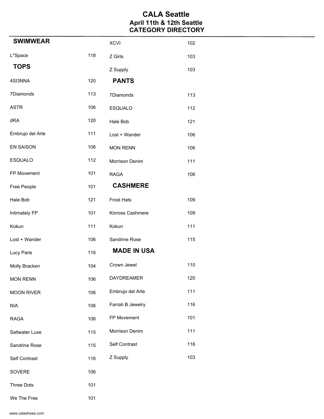# **CALA Seattle April 11th & 12th Seattle CATEGORY DIRECTORY**

| <b>SWIMWEAR</b>   |     | <b>XCVI</b>        | 102 |
|-------------------|-----|--------------------|-----|
| L*Space           | 118 | Z Girls            | 103 |
| <b>TOPS</b>       |     | Z Supply           | 103 |
| 4SI3NNA           | 120 | <b>PANTS</b>       |     |
| 7Diamonds         | 113 | 7Diamonds          | 113 |
| <b>ASTR</b>       | 106 | <b>ESQUALO</b>     | 112 |
| dRA               | 120 | Hale Bob           | 121 |
| Embrujo del Arte  | 111 | Lost + Wander      | 106 |
| EN SAISON         | 106 | <b>MON RENN</b>    | 106 |
| ESQUALO           | 112 | Morrison Denim     | 111 |
| FP Movement       | 101 | <b>RAGA</b>        | 106 |
| Free People       | 101 | <b>CASHMERE</b>    |     |
| Hale Bob          | 121 | <b>Frost Hats</b>  | 109 |
| Intimately FP     | 101 | Kinross Cashmere   | 109 |
| Kokun             | 111 | Kokun              | 111 |
| Lost + Wander     | 106 | Sandrine Rose      | 115 |
| Lucy Paris        | 116 | <b>MADE IN USA</b> |     |
| Molly Bracken     | 104 | Crown Jewel        | 110 |
| <b>MON RENN</b>   | 106 | <b>DAYDREAMER</b>  | 120 |
| <b>MOON RIVER</b> | 106 | Embrujo del Arte   | 111 |
| <b>NIA</b>        | 106 | Farrah B Jewelry   | 116 |
| <b>RAGA</b>       | 106 | FP Movement        | 101 |
| Saltwater Luxe    | 115 | Morrison Denim     | 111 |
| Sandrine Rose     | 115 | Self Contrast      | 116 |
| Self Contrast     | 116 | Z Supply           | 103 |
| SOVERE            | 106 |                    |     |
| Three Dots        | 101 |                    |     |
| We The Free       | 101 |                    |     |